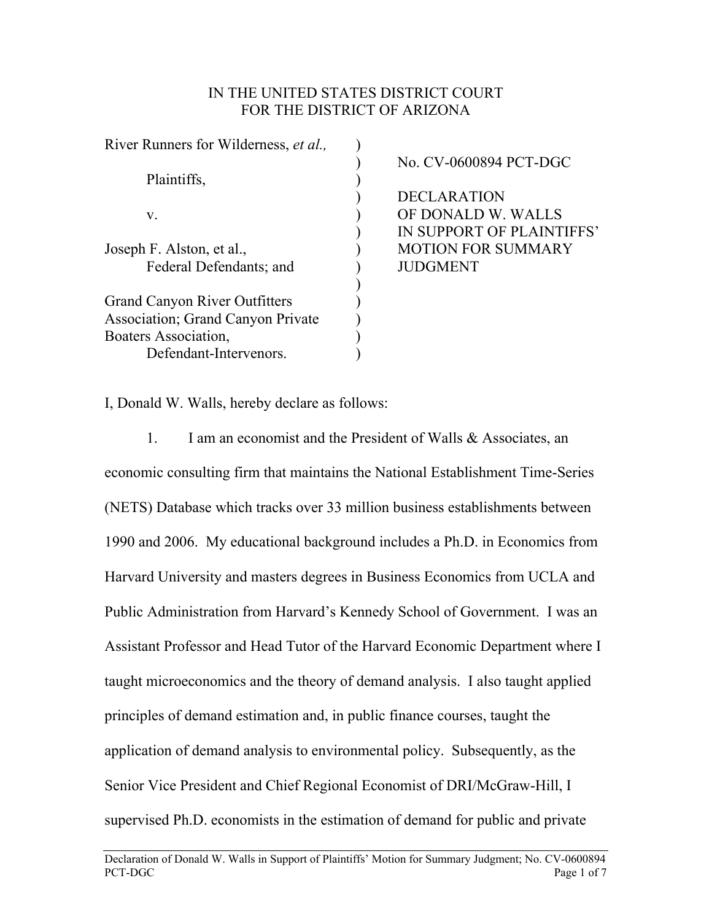## IN THE UNITED STATES DISTRICT COURT FOR THE DISTRICT OF ARIZONA

| River Runners for Wilderness, et al.,     |                           |
|-------------------------------------------|---------------------------|
|                                           | No. CV-0600894 PCT-DGC    |
| Plaintiffs,                               |                           |
|                                           | <b>DECLARATION</b>        |
| V.                                        | OF DONALD W. WALLS        |
|                                           | IN SUPPORT OF PLAINTIFFS' |
| Joseph F. Alston, et al.,                 | <b>MOTION FOR SUMMARY</b> |
| Federal Defendants; and                   | <b>JUDGMENT</b>           |
| <b>Grand Canyon River Outfitters</b>      |                           |
| <b>Association</b> ; Grand Canyon Private |                           |
| Boaters Association,                      |                           |
| Defendant-Intervenors.                    |                           |

I, Donald W. Walls, hereby declare as follows:

1. I am an economist and the President of Walls & Associates, an economic consulting firm that maintains the National Establishment Time-Series (NETS) Database which tracks over 33 million business establishments between 1990 and 2006. My educational background includes a Ph.D. in Economics from Harvard University and masters degrees in Business Economics from UCLA and Public Administration from Harvard's Kennedy School of Government. I was an Assistant Professor and Head Tutor of the Harvard Economic Department where I taught microeconomics and the theory of demand analysis. I also taught applied principles of demand estimation and, in public finance courses, taught the application of demand analysis to environmental policy. Subsequently, as the Senior Vice President and Chief Regional Economist of DRI/McGraw-Hill, I supervised Ph.D. economists in the estimation of demand for public and private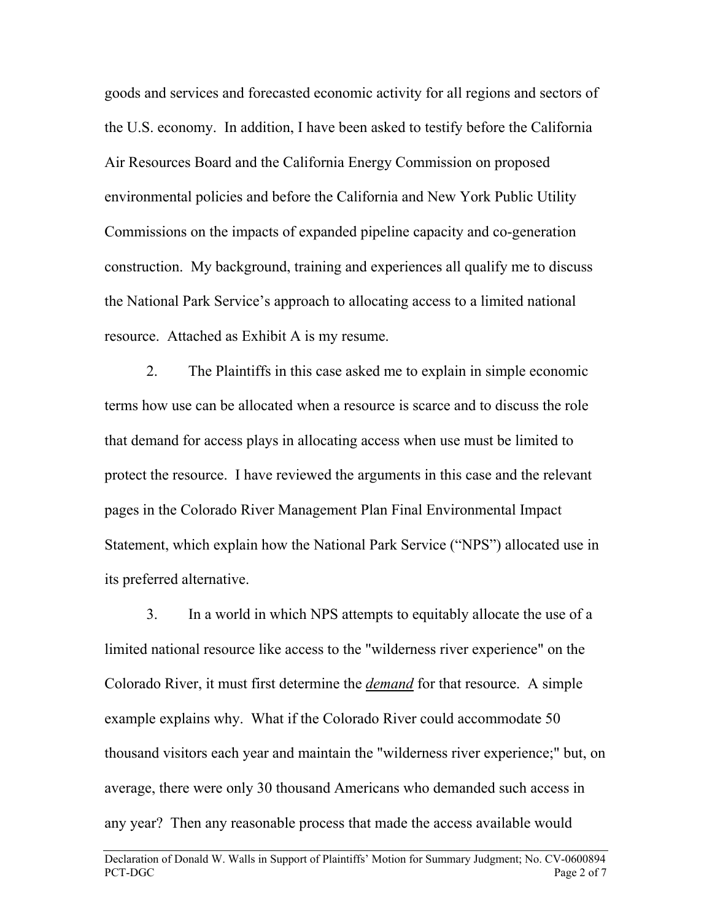goods and services and forecasted economic activity for all regions and sectors of the U.S. economy. In addition, I have been asked to testify before the California Air Resources Board and the California Energy Commission on proposed environmental policies and before the California and New York Public Utility Commissions on the impacts of expanded pipeline capacity and co-generation construction. My background, training and experiences all qualify me to discuss the National Park Service's approach to allocating access to a limited national resource. Attached as Exhibit A is my resume.

2. The Plaintiffs in this case asked me to explain in simple economic terms how use can be allocated when a resource is scarce and to discuss the role that demand for access plays in allocating access when use must be limited to protect the resource. I have reviewed the arguments in this case and the relevant pages in the Colorado River Management Plan Final Environmental Impact Statement, which explain how the National Park Service ("NPS") allocated use in its preferred alternative.

3. In a world in which NPS attempts to equitably allocate the use of a limited national resource like access to the "wilderness river experience" on the Colorado River, it must first determine the *demand* for that resource. A simple example explains why. What if the Colorado River could accommodate 50 thousand visitors each year and maintain the "wilderness river experience;" but, on average, there were only 30 thousand Americans who demanded such access in any year? Then any reasonable process that made the access available would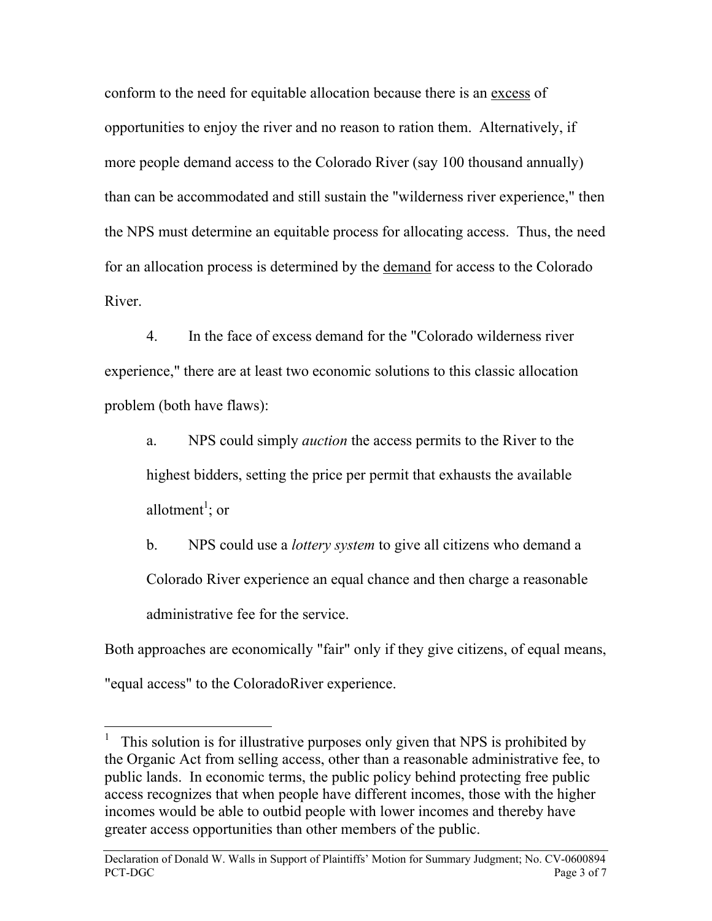conform to the need for equitable allocation because there is an excess of opportunities to enjoy the river and no reason to ration them. Alternatively, if more people demand access to the Colorado River (say 100 thousand annually) than can be accommodated and still sustain the "wilderness river experience," then the NPS must determine an equitable process for allocating access. Thus, the need for an allocation process is determined by the demand for access to the Colorado River.

4. In the face of excess demand for the "Colorado wilderness river experience," there are at least two economic solutions to this classic allocation problem (both have flaws):

a. NPS could simply *auction* the access permits to the River to the highest bidders, setting the price per permit that exhausts the available allotment<sup>1</sup>; or

b. NPS could use a *lottery system* to give all citizens who demand a Colorado River experience an equal chance and then charge a reasonable administrative fee for the service.

Both approaches are economically "fair" only if they give citizens, of equal means, "equal access" to the ColoradoRiver experience.

 $\overline{a}$ 

<sup>1</sup> This solution is for illustrative purposes only given that NPS is prohibited by the Organic Act from selling access, other than a reasonable administrative fee, to public lands. In economic terms, the public policy behind protecting free public access recognizes that when people have different incomes, those with the higher incomes would be able to outbid people with lower incomes and thereby have greater access opportunities than other members of the public.

Declaration of Donald W. Walls in Support of Plaintiffs' Motion for Summary Judgment; No. CV-0600894 PCT-DGC **Page 3 of 7**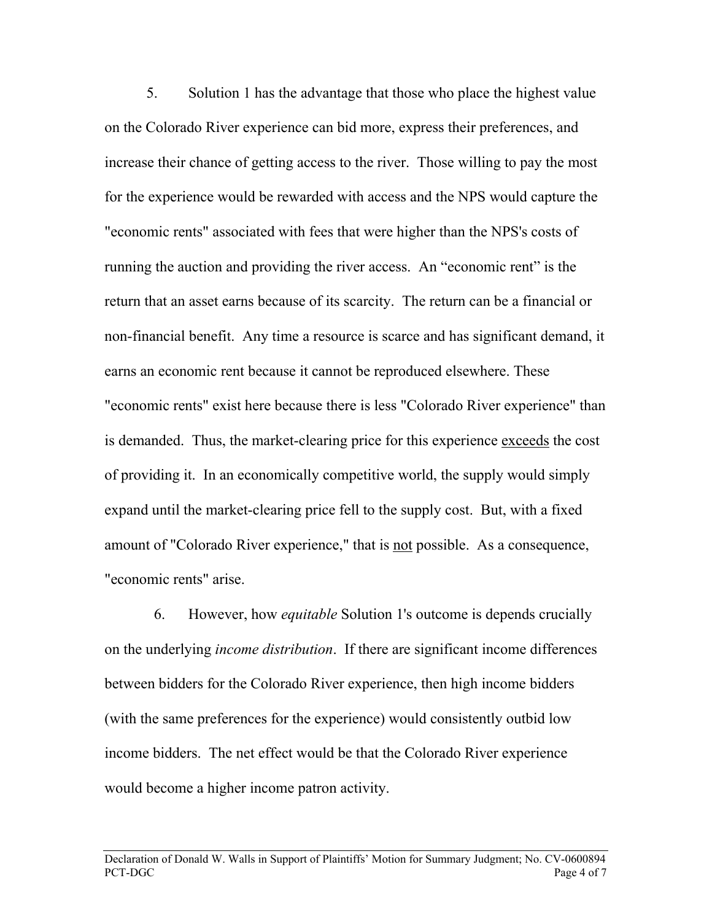5. Solution 1 has the advantage that those who place the highest value on the Colorado River experience can bid more, express their preferences, and increase their chance of getting access to the river. Those willing to pay the most for the experience would be rewarded with access and the NPS would capture the "economic rents" associated with fees that were higher than the NPS's costs of running the auction and providing the river access. An "economic rent" is the return that an asset earns because of its scarcity. The return can be a financial or non-financial benefit. Any time a resource is scarce and has significant demand, it earns an economic rent because it cannot be reproduced elsewhere. These "economic rents" exist here because there is less "Colorado River experience" than is demanded. Thus, the market-clearing price for this experience exceeds the cost of providing it. In an economically competitive world, the supply would simply expand until the market-clearing price fell to the supply cost. But, with a fixed amount of "Colorado River experience," that is not possible. As a consequence, "economic rents" arise.

 6. However, how *equitable* Solution 1's outcome is depends crucially on the underlying *income distribution*. If there are significant income differences between bidders for the Colorado River experience, then high income bidders (with the same preferences for the experience) would consistently outbid low income bidders. The net effect would be that the Colorado River experience would become a higher income patron activity.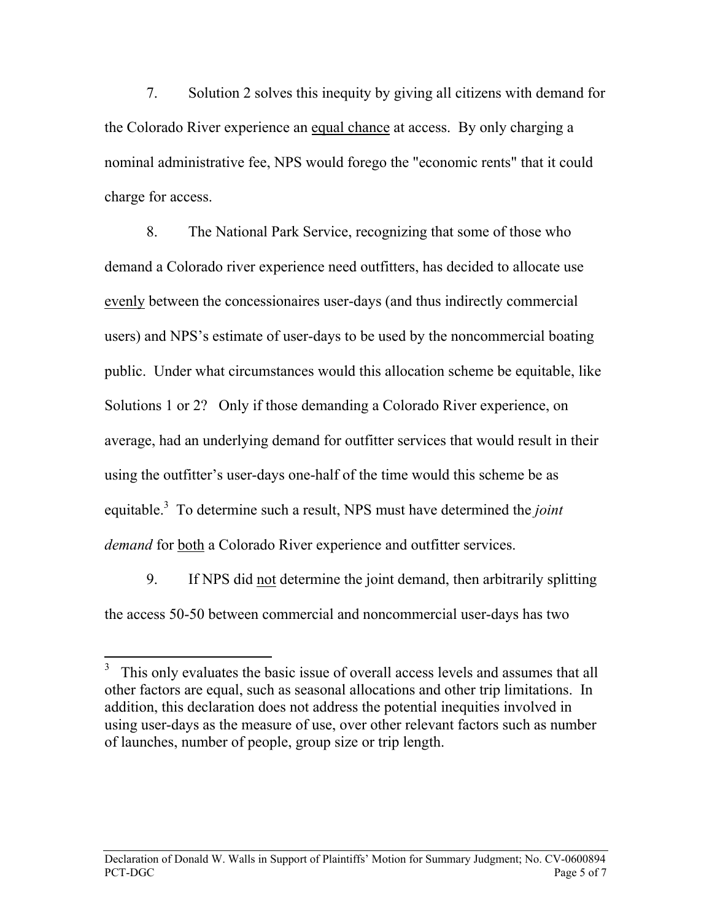7. Solution 2 solves this inequity by giving all citizens with demand for the Colorado River experience an equal chance at access. By only charging a nominal administrative fee, NPS would forego the "economic rents" that it could charge for access.

8. The National Park Service, recognizing that some of those who demand a Colorado river experience need outfitters, has decided to allocate use evenly between the concessionaires user-days (and thus indirectly commercial users) and NPS's estimate of user-days to be used by the noncommercial boating public. Under what circumstances would this allocation scheme be equitable, like Solutions 1 or 2? Only if those demanding a Colorado River experience, on average, had an underlying demand for outfitter services that would result in their using the outfitter's user-days one-half of the time would this scheme be as equitable.<sup>3</sup> To determine such a result, NPS must have determined the *joint demand* for both a Colorado River experience and outfitter services.

9. If NPS did not determine the joint demand, then arbitrarily splitting the access 50-50 between commercial and noncommercial user-days has two

 $\overline{a}$ 

<sup>3</sup> This only evaluates the basic issue of overall access levels and assumes that all other factors are equal, such as seasonal allocations and other trip limitations. In addition, this declaration does not address the potential inequities involved in using user-days as the measure of use, over other relevant factors such as number of launches, number of people, group size or trip length.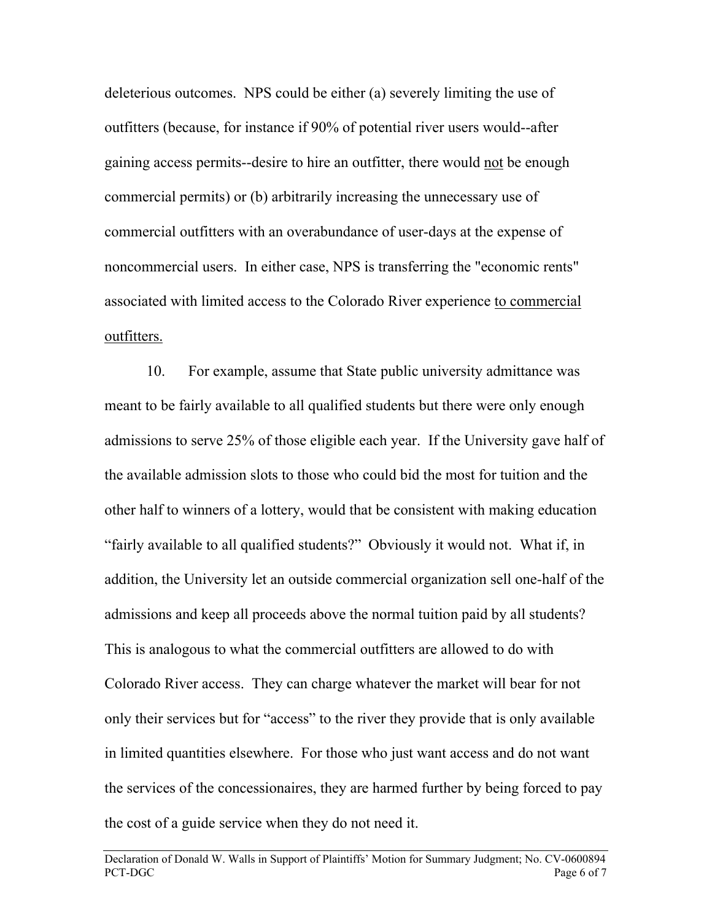deleterious outcomes. NPS could be either (a) severely limiting the use of outfitters (because, for instance if 90% of potential river users would--after gaining access permits--desire to hire an outfitter, there would not be enough commercial permits) or (b) arbitrarily increasing the unnecessary use of commercial outfitters with an overabundance of user-days at the expense of noncommercial users. In either case, NPS is transferring the "economic rents" associated with limited access to the Colorado River experience to commercial outfitters.

10. For example, assume that State public university admittance was meant to be fairly available to all qualified students but there were only enough admissions to serve 25% of those eligible each year. If the University gave half of the available admission slots to those who could bid the most for tuition and the other half to winners of a lottery, would that be consistent with making education "fairly available to all qualified students?" Obviously it would not. What if, in addition, the University let an outside commercial organization sell one-half of the admissions and keep all proceeds above the normal tuition paid by all students? This is analogous to what the commercial outfitters are allowed to do with Colorado River access. They can charge whatever the market will bear for not only their services but for "access" to the river they provide that is only available in limited quantities elsewhere. For those who just want access and do not want the services of the concessionaires, they are harmed further by being forced to pay the cost of a guide service when they do not need it.